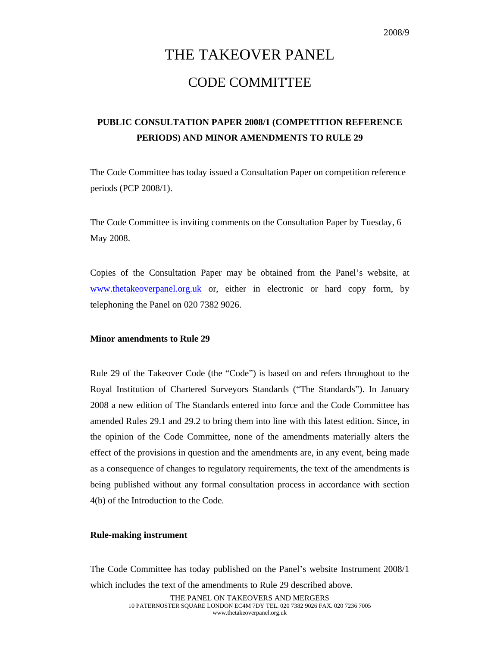# THE TAKEOVER PANEL CODE COMMITTEE

## **PUBLIC CONSULTATION PAPER 2008/1 (COMPETITION REFERENCE PERIODS) AND MINOR AMENDMENTS TO RULE 29**

The Code Committee has today issued a Consultation Paper on competition reference periods (PCP 2008/1).

The Code Committee is inviting comments on the Consultation Paper by Tuesday, 6 May 2008.

Copies of the Consultation Paper may be obtained from the Panel's website, at www.thetakeoverpanel.org.uk or, either in electronic or hard copy form, by telephoning the Panel on 020 7382 9026.

#### **Minor amendments to Rule 29**

Rule 29 of the Takeover Code (the "Code") is based on and refers throughout to the Royal Institution of Chartered Surveyors Standards ("The Standards"). In January 2008 a new edition of The Standards entered into force and the Code Committee has amended Rules 29.1 and 29.2 to bring them into line with this latest edition. Since, in the opinion of the Code Committee, none of the amendments materially alters the effect of the provisions in question and the amendments are, in any event, being made as a consequence of changes to regulatory requirements, the text of the amendments is being published without any formal consultation process in accordance with section 4(b) of the Introduction to the Code.

#### **Rule-making instrument**

The Code Committee has today published on the Panel's website Instrument 2008/1 which includes the text of the amendments to Rule 29 described above.

> THE PANEL ON TAKEOVERS AND MERGERS 10 PATERNOSTER SQUARE LONDON EC4M 7DY TEL. 020 7382 9026 FAX. 020 7236 7005 www.thetakeoverpanel.org.uk